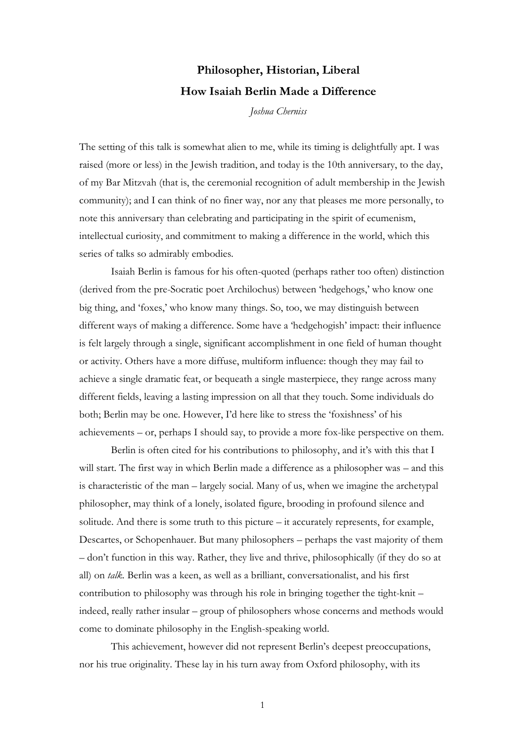## **Philosopher, Historian, Liberal How Isaiah Berlin Made a Difference**

*Joshua Cherniss*

The setting of this talk is somewhat alien to me, while its timing is delightfully apt. I was raised (more or less) in the Jewish tradition, and today is the 10th anniversary, to the day, of my Bar Mitzvah (that is, the ceremonial recognition of adult membership in the Jewish community); and I can think of no finer way, nor any that pleases me more personally, to note this anniversary than celebrating and participating in the spirit of ecumenism, intellectual curiosity, and commitment to making a difference in the world, which this series of talks so admirably embodies.

Isaiah Berlin is famous for his often-quoted (perhaps rather too often) distinction (derived from the pre-Socratic poet Archilochus) between 'hedgehogs,' who know one big thing, and 'foxes,' who know many things. So, too, we may distinguish between different ways of making a difference. Some have a 'hedgehogish' impact: their influence is felt largely through a single, significant accomplishment in one field of human thought or activity. Others have a more diffuse, multiform influence: though they may fail to achieve a single dramatic feat, or bequeath a single masterpiece, they range across many different fields, leaving a lasting impression on all that they touch. Some individuals do both; Berlin may be one. However, I'd here like to stress the 'foxishness' of his achievements – or, perhaps I should say, to provide a more fox-like perspective on them.

Berlin is often cited for his contributions to philosophy, and it's with this that I will start. The first way in which Berlin made a difference as a philosopher was – and this is characteristic of the man – largely social. Many of us, when we imagine the archetypal philosopher, may think of a lonely, isolated figure, brooding in profound silence and solitude. And there is some truth to this picture – it accurately represents, for example, Descartes, or Schopenhauer. But many philosophers – perhaps the vast majority of them – don't function in this way. Rather, they live and thrive, philosophically (if they do so at all) on *talk.* Berlin was a keen, as well as a brilliant, conversationalist, and his first contribution to philosophy was through his role in bringing together the tight-knit – indeed, really rather insular – group of philosophers whose concerns and methods would come to dominate philosophy in the English-speaking world.

This achievement, however did not represent Berlin's deepest preoccupations, nor his true originality. These lay in his turn away from Oxford philosophy, with its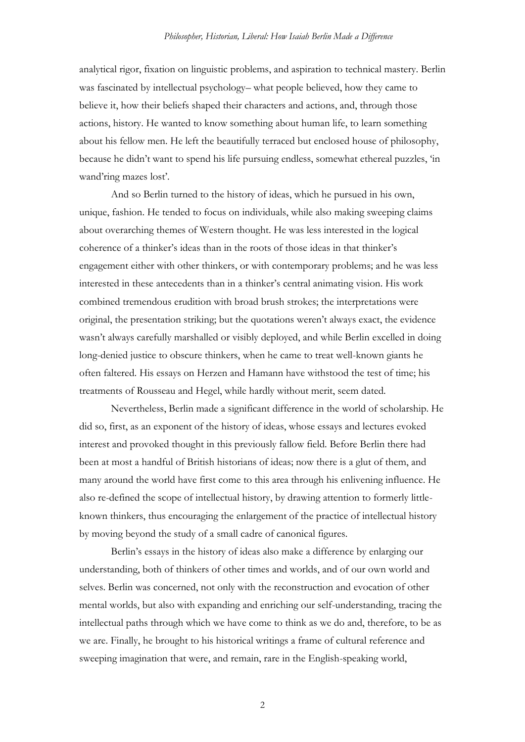analytical rigor, fixation on linguistic problems, and aspiration to technical mastery. Berlin was fascinated by intellectual psychology– what people believed, how they came to believe it, how their beliefs shaped their characters and actions, and, through those actions, history. He wanted to know something about human life, to learn something about his fellow men. He left the beautifully terraced but enclosed house of philosophy, because he didn't want to spend his life pursuing endless, somewhat ethereal puzzles, 'in wand'ring mazes lost'.

And so Berlin turned to the history of ideas, which he pursued in his own, unique, fashion. He tended to focus on individuals, while also making sweeping claims about overarching themes of Western thought. He was less interested in the logical coherence of a thinker's ideas than in the roots of those ideas in that thinker's engagement either with other thinkers, or with contemporary problems; and he was less interested in these antecedents than in a thinker's central animating vision. His work combined tremendous erudition with broad brush strokes; the interpretations were original, the presentation striking; but the quotations weren't always exact, the evidence wasn't always carefully marshalled or visibly deployed, and while Berlin excelled in doing long-denied justice to obscure thinkers, when he came to treat well-known giants he often faltered. His essays on Herzen and Hamann have withstood the test of time; his treatments of Rousseau and Hegel, while hardly without merit, seem dated.

Nevertheless, Berlin made a significant difference in the world of scholarship. He did so, first, as an exponent of the history of ideas, whose essays and lectures evoked interest and provoked thought in this previously fallow field. Before Berlin there had been at most a handful of British historians of ideas; now there is a glut of them, and many around the world have first come to this area through his enlivening influence. He also re-defined the scope of intellectual history, by drawing attention to formerly littleknown thinkers, thus encouraging the enlargement of the practice of intellectual history by moving beyond the study of a small cadre of canonical figures.

Berlin's essays in the history of ideas also make a difference by enlarging our understanding, both of thinkers of other times and worlds, and of our own world and selves. Berlin was concerned, not only with the reconstruction and evocation of other mental worlds, but also with expanding and enriching our self-understanding, tracing the intellectual paths through which we have come to think as we do and, therefore, to be as we are. Finally, he brought to his historical writings a frame of cultural reference and sweeping imagination that were, and remain, rare in the English-speaking world,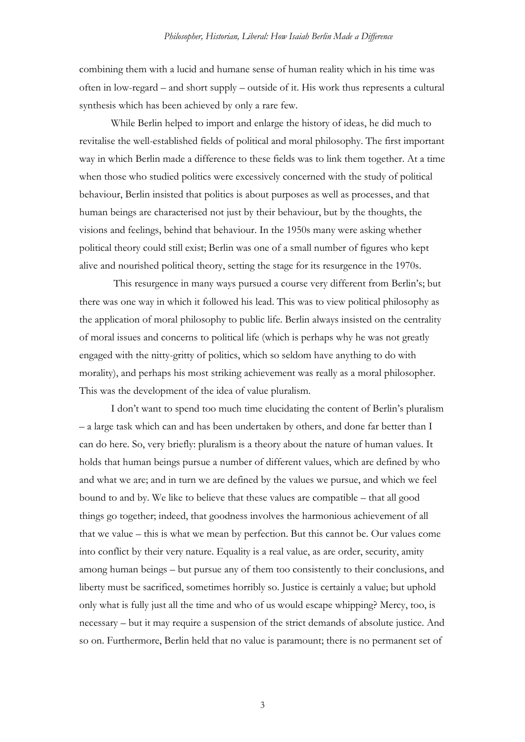combining them with a lucid and humane sense of human reality which in his time was often in low-regard – and short supply – outside of it. His work thus represents a cultural synthesis which has been achieved by only a rare few.

While Berlin helped to import and enlarge the history of ideas, he did much to revitalise the well-established fields of political and moral philosophy. The first important way in which Berlin made a difference to these fields was to link them together. At a time when those who studied politics were excessively concerned with the study of political behaviour, Berlin insisted that politics is about purposes as well as processes, and that human beings are characterised not just by their behaviour, but by the thoughts, the visions and feelings, behind that behaviour. In the 1950s many were asking whether political theory could still exist; Berlin was one of a small number of figures who kept alive and nourished political theory, setting the stage for its resurgence in the 1970s.

This resurgence in many ways pursued a course very different from Berlin's; but there was one way in which it followed his lead. This was to view political philosophy as the application of moral philosophy to public life. Berlin always insisted on the centrality of moral issues and concerns to political life (which is perhaps why he was not greatly engaged with the nitty-gritty of politics, which so seldom have anything to do with morality), and perhaps his most striking achievement was really as a moral philosopher. This was the development of the idea of value pluralism.

I don't want to spend too much time elucidating the content of Berlin's pluralism – a large task which can and has been undertaken by others, and done far better than I can do here. So, very briefly: pluralism is a theory about the nature of human values. It holds that human beings pursue a number of different values, which are defined by who and what we are; and in turn we are defined by the values we pursue, and which we feel bound to and by. We like to believe that these values are compatible – that all good things go together; indeed, that goodness involves the harmonious achievement of all that we value – this is what we mean by perfection. But this cannot be. Our values come into conflict by their very nature. Equality is a real value, as are order, security, amity among human beings – but pursue any of them too consistently to their conclusions, and liberty must be sacrificed, sometimes horribly so. Justice is certainly a value; but uphold only what is fully just all the time and who of us would escape whipping? Mercy, too, is necessary – but it may require a suspension of the strict demands of absolute justice. And so on. Furthermore, Berlin held that no value is paramount; there is no permanent set of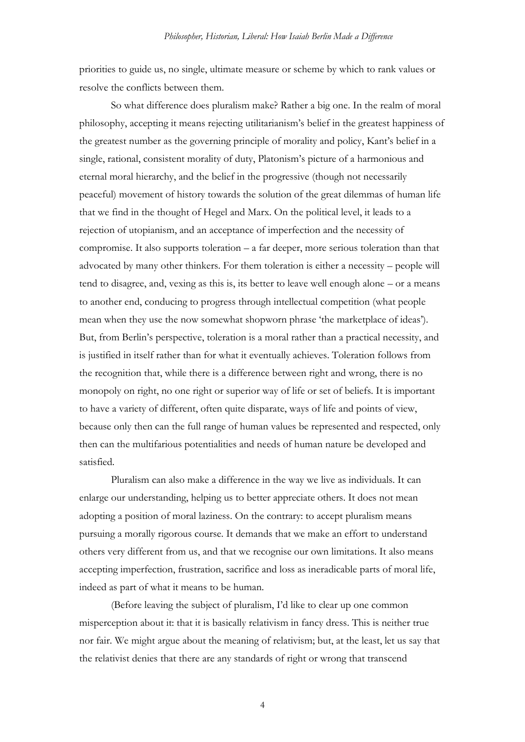priorities to guide us, no single, ultimate measure or scheme by which to rank values or resolve the conflicts between them.

So what difference does pluralism make? Rather a big one. In the realm of moral philosophy, accepting it means rejecting utilitarianism's belief in the greatest happiness of the greatest number as the governing principle of morality and policy, Kant's belief in a single, rational, consistent morality of duty, Platonism's picture of a harmonious and eternal moral hierarchy, and the belief in the progressive (though not necessarily peaceful) movement of history towards the solution of the great dilemmas of human life that we find in the thought of Hegel and Marx. On the political level, it leads to a rejection of utopianism, and an acceptance of imperfection and the necessity of compromise. It also supports toleration – a far deeper, more serious toleration than that advocated by many other thinkers. For them toleration is either a necessity – people will tend to disagree, and, vexing as this is, its better to leave well enough alone – or a means to another end, conducing to progress through intellectual competition (what people mean when they use the now somewhat shopworn phrase 'the marketplace of ideas'). But, from Berlin's perspective, toleration is a moral rather than a practical necessity, and is justified in itself rather than for what it eventually achieves. Toleration follows from the recognition that, while there is a difference between right and wrong, there is no monopoly on right, no one right or superior way of life or set of beliefs. It is important to have a variety of different, often quite disparate, ways of life and points of view, because only then can the full range of human values be represented and respected, only then can the multifarious potentialities and needs of human nature be developed and satisfied.

Pluralism can also make a difference in the way we live as individuals. It can enlarge our understanding, helping us to better appreciate others. It does not mean adopting a position of moral laziness. On the contrary: to accept pluralism means pursuing a morally rigorous course. It demands that we make an effort to understand others very different from us, and that we recognise our own limitations. It also means accepting imperfection, frustration, sacrifice and loss as ineradicable parts of moral life, indeed as part of what it means to be human.

(Before leaving the subject of pluralism, I'd like to clear up one common misperception about it: that it is basically relativism in fancy dress. This is neither true nor fair. We might argue about the meaning of relativism; but, at the least, let us say that the relativist denies that there are any standards of right or wrong that transcend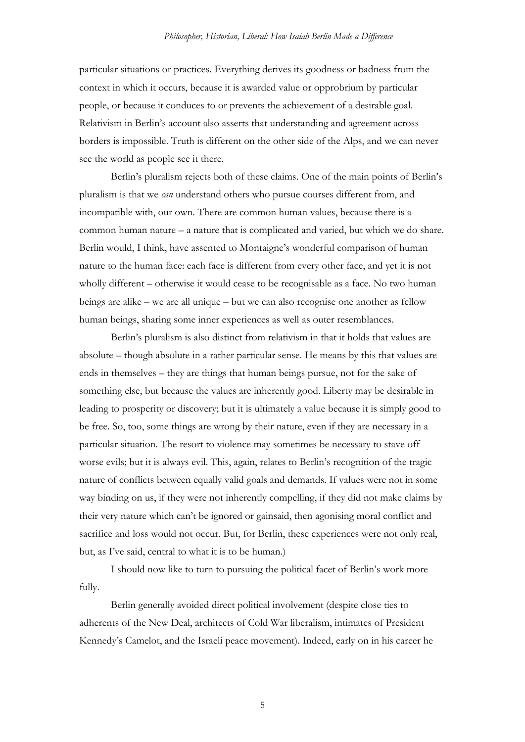particular situations or practices. Everything derives its goodness or badness from the context in which it occurs, because it is awarded value or opprobrium by particular people, or because it conduces to or prevents the achievement of a desirable goal. Relativism in Berlin's account also asserts that understanding and agreement across borders is impossible. Truth is different on the other side of the Alps, and we can never see the world as people see it there.

Berlin's pluralism rejects both of these claims. One of the main points of Berlin's pluralism is that we *can* understand others who pursue courses different from, and incompatible with, our own. There are common human values, because there is a common human nature – a nature that is complicated and varied, but which we do share. Berlin would, I think, have assented to Montaigne's wonderful comparison of human nature to the human face: each face is different from every other face, and yet it is not wholly different – otherwise it would cease to be recognisable as a face. No two human beings are alike – we are all unique – but we can also recognise one another as fellow human beings, sharing some inner experiences as well as outer resemblances.

Berlin's pluralism is also distinct from relativism in that it holds that values are absolute – though absolute in a rather particular sense. He means by this that values are ends in themselves – they are things that human beings pursue, not for the sake of something else, but because the values are inherently good. Liberty may be desirable in leading to prosperity or discovery; but it is ultimately a value because it is simply good to be free. So, too, some things are wrong by their nature, even if they are necessary in a particular situation. The resort to violence may sometimes be necessary to stave off worse evils; but it is always evil. This, again, relates to Berlin's recognition of the tragic nature of conflicts between equally valid goals and demands. If values were not in some way binding on us, if they were not inherently compelling, if they did not make claims by their very nature which can't be ignored or gainsaid, then agonising moral conflict and sacrifice and loss would not occur. But, for Berlin, these experiences were not only real, but, as I've said, central to what it is to be human.)

I should now like to turn to pursuing the political facet of Berlin's work more fully.

Berlin generally avoided direct political involvement (despite close ties to adherents of the New Deal, architects of Cold War liberalism, intimates of President Kennedy's Camelot, and the Israeli peace movement). Indeed, early on in his career he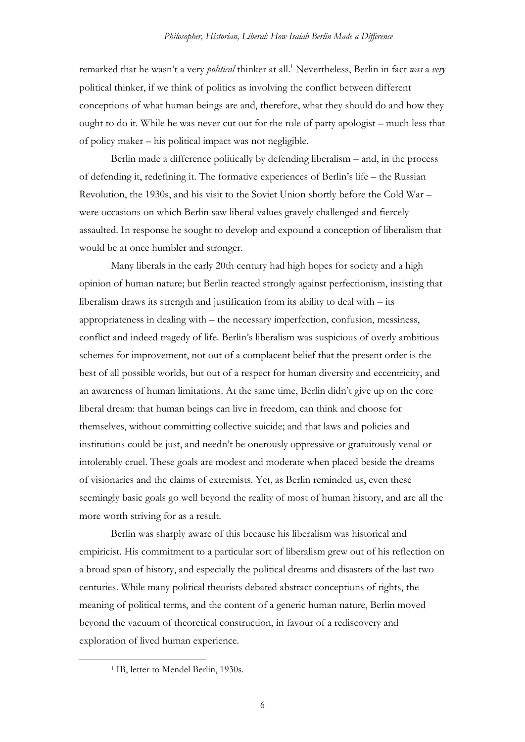remarked that he wasn't a very *political* thinker at all.<sup>1</sup> Nevertheless, Berlin in fact *was* a *very* political thinker, if we think of politics as involving the conflict between different conceptions of what human beings are and, therefore, what they should do and how they ought to do it. While he was never cut out for the role of party apologist – much less that of policy maker – his political impact was not negligible.

Berlin made a difference politically by defending liberalism – and, in the process of defending it, redefining it. The formative experiences of Berlin's life – the Russian Revolution, the 1930s, and his visit to the Soviet Union shortly before the Cold War – were occasions on which Berlin saw liberal values gravely challenged and fiercely assaulted. In response he sought to develop and expound a conception of liberalism that would be at once humbler and stronger.

Many liberals in the early 20th century had high hopes for society and a high opinion of human nature; but Berlin reacted strongly against perfectionism, insisting that liberalism draws its strength and justification from its ability to deal with – its appropriateness in dealing with – the necessary imperfection, confusion, messiness, conflict and indeed tragedy of life. Berlin's liberalism was suspicious of overly ambitious schemes for improvement, not out of a complacent belief that the present order is the best of all possible worlds, but out of a respect for human diversity and eccentricity, and an awareness of human limitations. At the same time, Berlin didn't give up on the core liberal dream: that human beings can live in freedom, can think and choose for themselves, without committing collective suicide; and that laws and policies and institutions could be just, and needn't be onerously oppressive or gratuitously venal or intolerably cruel. These goals are modest and moderate when placed beside the dreams of visionaries and the claims of extremists. Yet, as Berlin reminded us, even these seemingly basic goals go well beyond the reality of most of human history, and are all the more worth striving for as a result.

Berlin was sharply aware of this because his liberalism was historical and empiricist. His commitment to a particular sort of liberalism grew out of his reflection on a broad span of history, and especially the political dreams and disasters of the last two centuries. While many political theorists debated abstract conceptions of rights, the meaning of political terms, and the content of a generic human nature, Berlin moved beyond the vacuum of theoretical construction, in favour of a rediscovery and exploration of lived human experience.

<sup>&</sup>lt;sup>1</sup> IB, letter to Mendel Berlin, 1930s.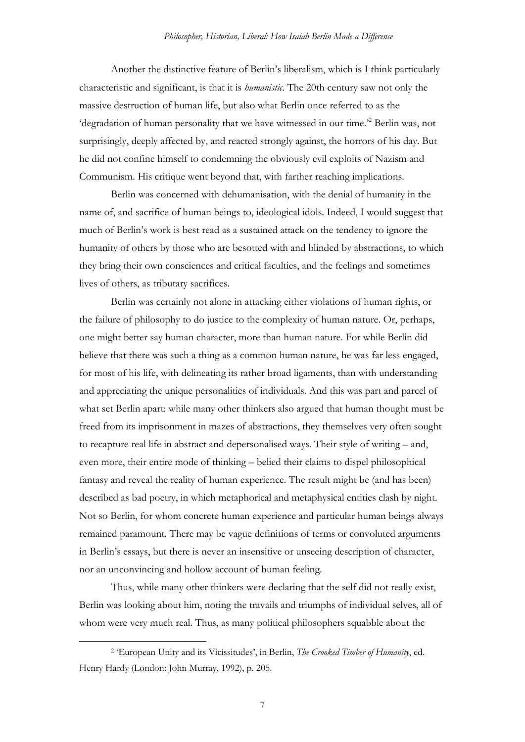Another the distinctive feature of Berlin's liberalism, which is I think particularly characteristic and significant, is that it is *humanistic*. The 20th century saw not only the massive destruction of human life, but also what Berlin once referred to as the 'degradation of human personality that we have witnessed in our time.'<sup>2</sup> Berlin was, not surprisingly, deeply affected by, and reacted strongly against, the horrors of his day. But he did not confine himself to condemning the obviously evil exploits of Nazism and Communism. His critique went beyond that, with farther reaching implications.

Berlin was concerned with dehumanisation, with the denial of humanity in the name of, and sacrifice of human beings to, ideological idols. Indeed, I would suggest that much of Berlin's work is best read as a sustained attack on the tendency to ignore the humanity of others by those who are besotted with and blinded by abstractions, to which they bring their own consciences and critical faculties, and the feelings and sometimes lives of others, as tributary sacrifices.

Berlin was certainly not alone in attacking either violations of human rights, or the failure of philosophy to do justice to the complexity of human nature. Or, perhaps, one might better say human character, more than human nature. For while Berlin did believe that there was such a thing as a common human nature, he was far less engaged, for most of his life, with delineating its rather broad ligaments, than with understanding and appreciating the unique personalities of individuals. And this was part and parcel of what set Berlin apart: while many other thinkers also argued that human thought must be freed from its imprisonment in mazes of abstractions, they themselves very often sought to recapture real life in abstract and depersonalised ways. Their style of writing – and, even more, their entire mode of thinking – belied their claims to dispel philosophical fantasy and reveal the reality of human experience. The result might be (and has been) described as bad poetry, in which metaphorical and metaphysical entities clash by night. Not so Berlin, for whom concrete human experience and particular human beings always remained paramount. There may be vague definitions of terms or convoluted arguments in Berlin's essays, but there is never an insensitive or unseeing description of character, nor an unconvincing and hollow account of human feeling.

Thus, while many other thinkers were declaring that the self did not really exist, Berlin was looking about him, noting the travails and triumphs of individual selves, all of whom were very much real. Thus, as many political philosophers squabble about the

<sup>2</sup> 'European Unity and its Vicissitudes', in Berlin, *The Crooked Timber of Humanity*, ed. Henry Hardy (London: John Murray, 1992), p. 205.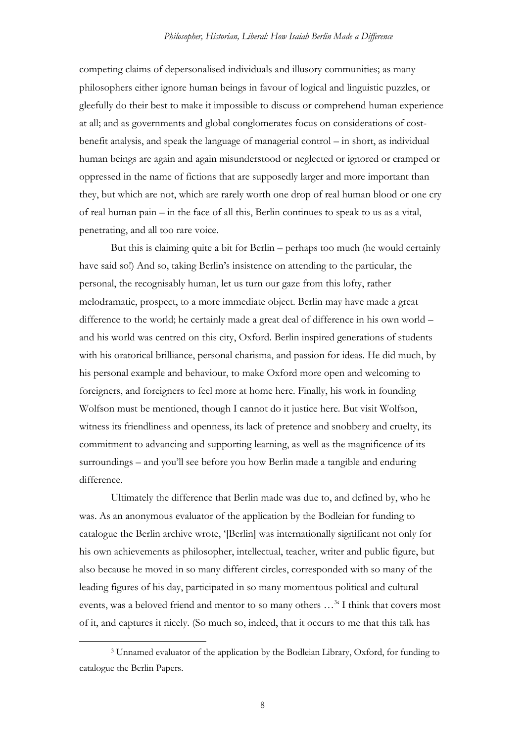competing claims of depersonalised individuals and illusory communities; as many philosophers either ignore human beings in favour of logical and linguistic puzzles, or gleefully do their best to make it impossible to discuss or comprehend human experience at all; and as governments and global conglomerates focus on considerations of costbenefit analysis, and speak the language of managerial control – in short, as individual human beings are again and again misunderstood or neglected or ignored or cramped or oppressed in the name of fictions that are supposedly larger and more important than they, but which are not, which are rarely worth one drop of real human blood or one cry of real human pain – in the face of all this, Berlin continues to speak to us as a vital, penetrating, and all too rare voice.

But this is claiming quite a bit for Berlin – perhaps too much (he would certainly have said so!) And so, taking Berlin's insistence on attending to the particular, the personal, the recognisably human, let us turn our gaze from this lofty, rather melodramatic, prospect, to a more immediate object. Berlin may have made a great difference to the world; he certainly made a great deal of difference in his own world – and his world was centred on this city, Oxford. Berlin inspired generations of students with his oratorical brilliance, personal charisma, and passion for ideas. He did much, by his personal example and behaviour, to make Oxford more open and welcoming to foreigners, and foreigners to feel more at home here. Finally, his work in founding Wolfson must be mentioned, though I cannot do it justice here. But visit Wolfson, witness its friendliness and openness, its lack of pretence and snobbery and cruelty, its commitment to advancing and supporting learning, as well as the magnificence of its surroundings – and you'll see before you how Berlin made a tangible and enduring difference.

Ultimately the difference that Berlin made was due to, and defined by, who he was. As an anonymous evaluator of the application by the Bodleian for funding to catalogue the Berlin archive wrote, '[Berlin] was internationally significant not only for his own achievements as philosopher, intellectual, teacher, writer and public figure, but also because he moved in so many different circles, corresponded with so many of the leading figures of his day, participated in so many momentous political and cultural events, was a beloved friend and mentor to so many others ...<sup>3</sup> I think that covers most of it, and captures it nicely. (So much so, indeed, that it occurs to me that this talk has

<sup>3</sup> Unnamed evaluator of the application by the Bodleian Library, Oxford, for funding to catalogue the Berlin Papers.